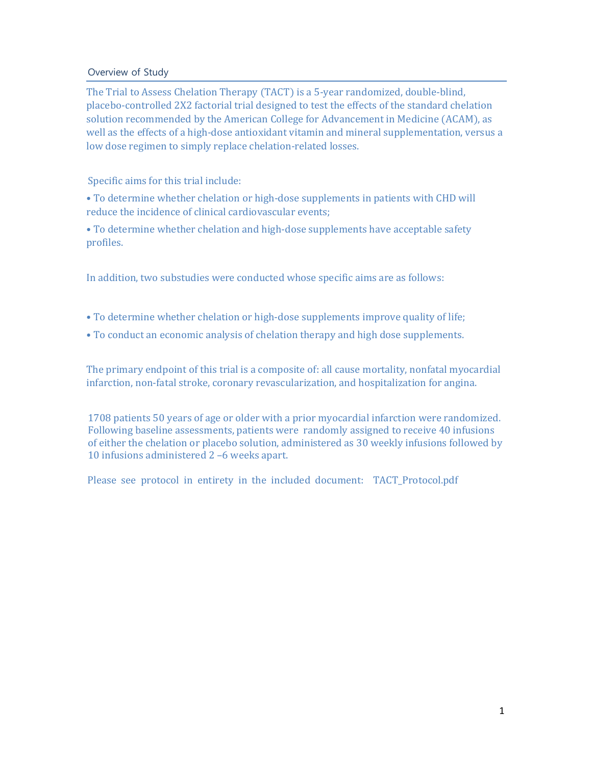### Overview of Study

The Trial to Assess Chelation Therapy (TACT) is a 5-year randomized, double-blind, placebo-controlled 2X2 factorial trial designed to test the effects of the standard chelation solution recommended by the American College for Advancement in Medicine (ACAM), as well as the effects of a high-dose antioxidant vitamin and mineral supplementation, versus a low dose regimen to simply replace chelation-related losses.

### Specific aims for this trial include:

• To determine whether chelation or high-dose supplements in patients with CHD will reduce the incidence of clinical cardiovascular events;

• To determine whether chelation and high-dose supplements have acceptable safety profiles. 

In addition, two substudies were conducted whose specific aims are as follows:

- To determine whether chelation or high-dose supplements improve quality of life;
- To conduct an economic analysis of chelation therapy and high dose supplements.

The primary endpoint of this trial is a composite of: all cause mortality, nonfatal myocardial infarction, non-fatal stroke, coronary revascularization, and hospitalization for angina.

1708 patients 50 years of age or older with a prior myocardial infarction were randomized. 10 infusions administered 2 -6 weeks apart. Following baseline assessments, patients were randomly assigned to receive 40 infusions of either the chelation or placebo solution, administered as 30 weekly infusions followed by

Please see protocol in entirety in the included document: TACT\_Protocol.pdf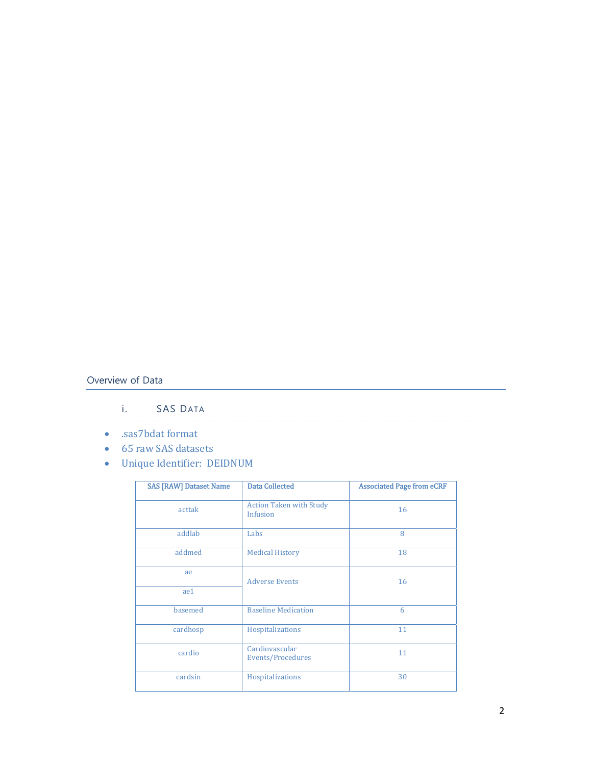# Overview of Data

#### SAS DATA  $\mathbf{i}$ .

- .sas7bdat format
- 65 raw SAS datasets
- Unique Identifier: DEIDNUM

| <b>SAS [RAW] Dataset Name</b> | <b>Data Collected</b>                      | <b>Associated Page from eCRF</b> |
|-------------------------------|--------------------------------------------|----------------------------------|
| acttak                        | <b>Action Taken with Study</b><br>Infusion | 16                               |
| addlab                        | Labs                                       | 8                                |
| addmed                        | <b>Medical History</b>                     | 18                               |
| ae                            | <b>Adverse Events</b>                      | 16                               |
| ae1                           |                                            |                                  |
| basemed                       | <b>Baseline Medication</b>                 | 6                                |
| cardhosp                      | Hospitalizations                           | 11                               |
| cardio                        | Cardiovascular<br>Events/Procedures        | 11                               |
| cardsin                       | Hospitalizations                           | 30                               |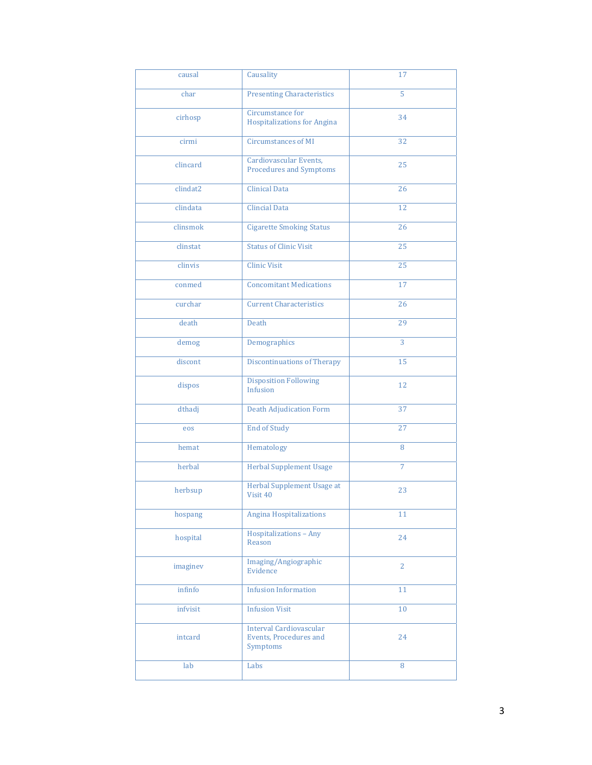| causal   | Causality                                                            | 17              |
|----------|----------------------------------------------------------------------|-----------------|
| char     | <b>Presenting Characteristics</b>                                    | 5               |
| cirhosp  | Circumstance for<br><b>Hospitalizations for Angina</b>               | 34              |
| cirmi    | <b>Circumstances of MI</b>                                           | 32              |
| clincard | Cardiovascular Events,<br><b>Procedures and Symptoms</b>             | 25              |
| clindat2 | <b>Clinical Data</b>                                                 | 26              |
| clindata | <b>Clincial Data</b>                                                 | $\overline{12}$ |
| clinsmok | <b>Cigarette Smoking Status</b>                                      | 26              |
| clinstat | <b>Status of Clinic Visit</b>                                        | 25              |
| clinvis  | <b>Clinic Visit</b>                                                  | $\overline{25}$ |
| conmed   | <b>Concomitant Medications</b>                                       | 17              |
| curchar  | <b>Current Characteristics</b>                                       | 26              |
| death    | Death                                                                | 29              |
| demog    | Demographics                                                         | 3               |
| discont  | <b>Discontinuations of Therapy</b>                                   | 15              |
| dispos   | <b>Disposition Following</b><br>Infusion                             | 12              |
| dthadj   | <b>Death Adjudication Form</b>                                       | 37              |
| eos      | <b>End of Study</b>                                                  | 27              |
| hemat    | Hematology                                                           | 8               |
| herbal   | <b>Herbal Supplement Usage</b>                                       | $\overline{7}$  |
| herbsup  | Herbal Supplement Usage at<br>Visit 40                               | 23              |
| hospang  | <b>Angina Hospitalizations</b>                                       | 11              |
| hospital | Hospitalizations - Any<br>Reason                                     | 24              |
| imaginev | Imaging/Angiographic<br>Evidence                                     | $\overline{2}$  |
| infinfo  | <b>Infusion Information</b>                                          | 11              |
| infvisit | <b>Infusion Visit</b>                                                | 10              |
| intcard  | <b>Interval Cardiovascular</b><br>Events, Procedures and<br>Symptoms | 24              |
| lab      | Labs                                                                 | 8               |
|          |                                                                      |                 |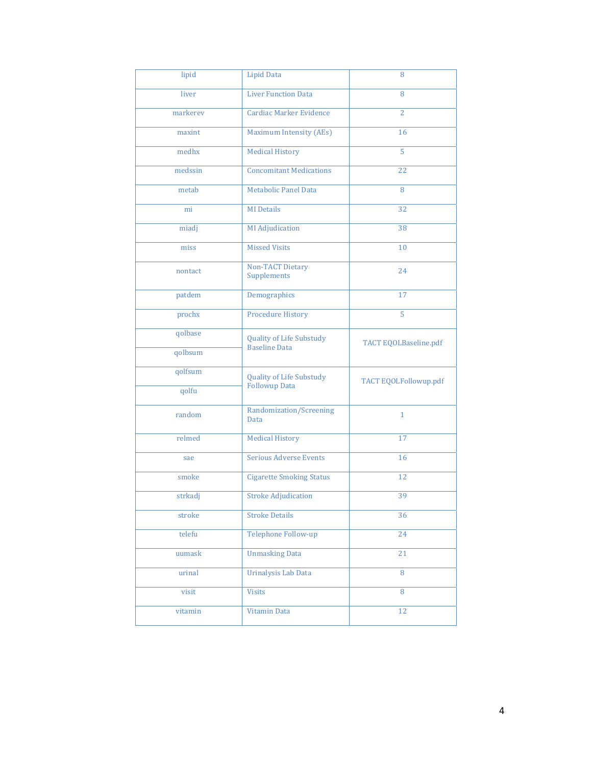| lipid    | <b>Lipid Data</b>                                       | 8                     |
|----------|---------------------------------------------------------|-----------------------|
| liver    | <b>Liver Function Data</b>                              | 8                     |
| markerev | <b>Cardiac Marker Evidence</b>                          | $\overline{2}$        |
| maxint   | Maximum Intensity (AEs)                                 | 16                    |
| medhx    | <b>Medical History</b>                                  | $\overline{5}$        |
| medssin  | <b>Concomitant Medications</b>                          | 22                    |
| metab    | Metabolic Panel Data                                    | 8                     |
| mi       | <b>MI</b> Details                                       | 32                    |
| miadj    | <b>MI</b> Adjudication                                  | 38                    |
| miss     | <b>Missed Visits</b>                                    | 10                    |
| nontact  | <b>Non-TACT Dietary</b><br>Supplements                  | 24                    |
| patdem   | Demographics                                            | 17                    |
| prochx   | <b>Procedure History</b>                                | 5                     |
| qolbase  | <b>Quality of Life Substudy</b>                         | TACT EQOLBaseline.pdf |
| qolbsum  | <b>Baseline Data</b>                                    |                       |
| qolfsum  | <b>Quality of Life Substudy</b><br><b>Followup Data</b> | TACT EQOLFollowup.pdf |
| qolfu    |                                                         |                       |
| random   | Randomization/Screening<br>Data                         | $\mathbf{1}$          |
| relmed   | <b>Medical History</b>                                  | 17                    |
| sae      | <b>Serious Adverse Events</b>                           | 16                    |
| smoke    | <b>Cigarette Smoking Status</b>                         | 12                    |
| strkadj  | <b>Stroke Adjudication</b>                              | 39                    |
| stroke   | <b>Stroke Details</b>                                   | 36                    |
| telefu   | Telephone Follow-up                                     | 24                    |
| uumask   | <b>Unmasking Data</b>                                   | 21                    |
| urinal   | Urinalysis Lab Data                                     | 8                     |
| visit    | <b>Visits</b>                                           | 8                     |
| vitamin  | Vitamin Data                                            | 12                    |